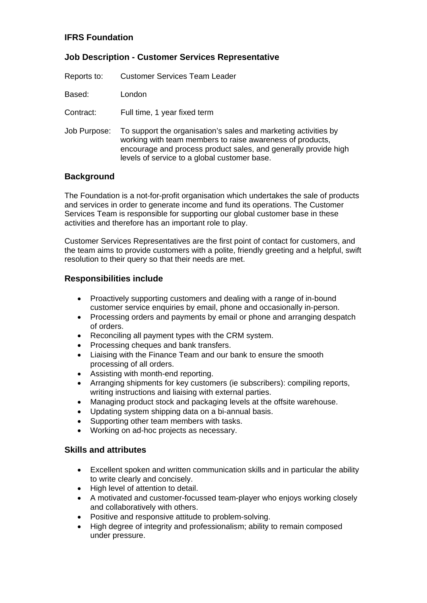### **IFRS Foundation**

## **Job Description - Customer Services Representative**

| Reports to: | <b>Customer Services Team Leader</b> |  |
|-------------|--------------------------------------|--|
|             |                                      |  |

Based: London

Contract: Full time, 1 year fixed term

Job Purpose: To support the organisation's sales and marketing activities by working with team members to raise awareness of products, encourage and process product sales, and generally provide high levels of service to a global customer base.

#### **Background**

The Foundation is a not-for-profit organisation which undertakes the sale of products and services in order to generate income and fund its operations. The Customer Services Team is responsible for supporting our global customer base in these activities and therefore has an important role to play.

Customer Services Representatives are the first point of contact for customers, and the team aims to provide customers with a polite, friendly greeting and a helpful, swift resolution to their query so that their needs are met.

#### **Responsibilities include**

- Proactively supporting customers and dealing with a range of in-bound customer service enquiries by email, phone and occasionally in-person.
- Processing orders and payments by email or phone and arranging despatch of orders.
- Reconciling all payment types with the CRM system.
- Processing cheques and bank transfers.
- Liaising with the Finance Team and our bank to ensure the smooth processing of all orders.
- Assisting with month-end reporting.
- Arranging shipments for key customers (ie subscribers): compiling reports, writing instructions and liaising with external parties.
- Managing product stock and packaging levels at the offsite warehouse.
- Updating system shipping data on a bi-annual basis.
- Supporting other team members with tasks.
- Working on ad-hoc projects as necessary.

#### **Skills and attributes**

- Excellent spoken and written communication skills and in particular the ability to write clearly and concisely.
- High level of attention to detail.
- A motivated and customer-focussed team-player who enjoys working closely and collaboratively with others.
- Positive and responsive attitude to problem-solving.
- High degree of integrity and professionalism; ability to remain composed under pressure.